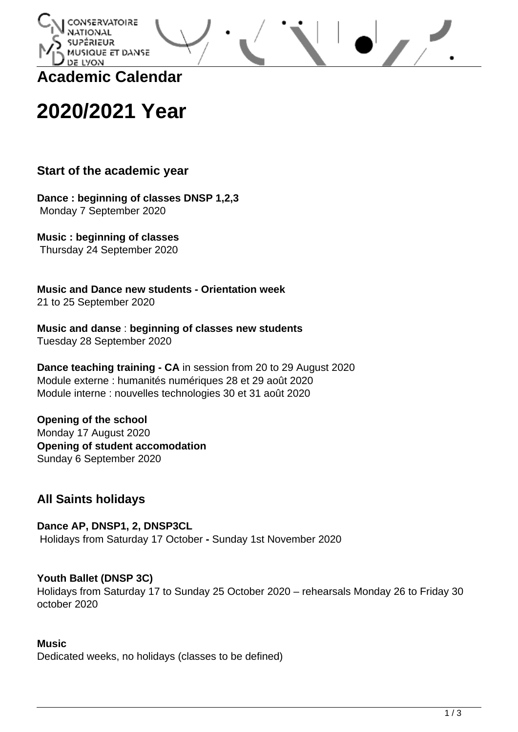

**Academic Calendar**

# **2020/2021 Year**

# **Start of the academic year**

**Dance : beginning of classes DNSP 1,2,3** Monday 7 September 2020

**Music : beginning of classes** Thursday 24 September 2020

**Music and Dance new students - Orientation week** 21 to 25 September 2020

**Music and danse** : **beginning of classes new students** Tuesday 28 September 2020

**Dance teaching training - CA** in session from 20 to 29 August 2020 Module externe : humanités numériques 28 et 29 août 2020 Module interne : nouvelles technologies 30 et 31 août 2020

**Opening of the school** Monday 17 August 2020 **Opening of student accomodation** Sunday 6 September 2020

# **All Saints holidays**

**Dance AP, DNSP1, 2, DNSP3CL** Holidays from Saturday 17 October **-** Sunday 1st November 2020

## **Youth Ballet (DNSP 3C)**

Holidays from Saturday 17 to Sunday 25 October 2020 – rehearsals Monday 26 to Friday 30 october 2020

#### **Music**

Dedicated weeks, no holidays (classes to be defined)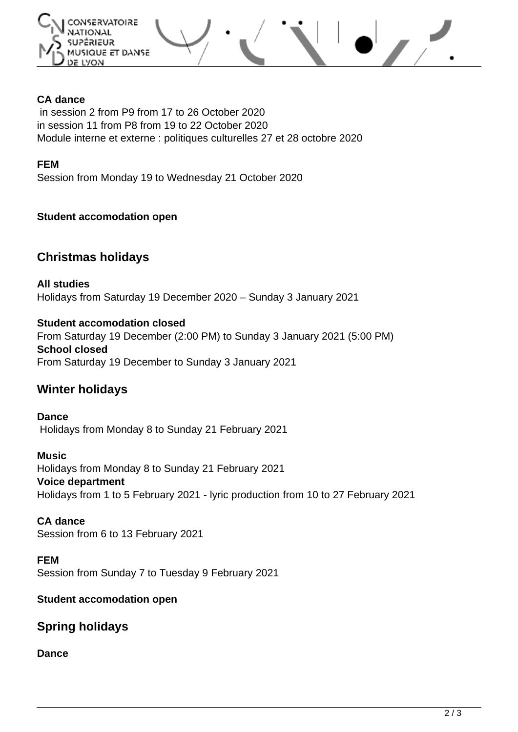

## **CA dance**

in session 2 from P9 from 17 to 26 October 2020 in session 11 from P8 from 19 to 22 October 2020 Module interne et externe : politiques culturelles 27 et 28 octobre 2020

#### **FEM**

Session from Monday 19 to Wednesday 21 October 2020

#### **Student accomodation open**

## **Christmas holidays**

**All studies** Holidays from Saturday 19 December 2020 – Sunday 3 January 2021

**Student accomodation closed** From Saturday 19 December (2:00 PM) to Sunday 3 January 2021 (5:00 PM) **School closed** From Saturday 19 December to Sunday 3 January 2021

# **Winter holidays**

**Dance** Holidays from Monday 8 to Sunday 21 February 2021

**Music** Holidays from Monday 8 to Sunday 21 February 2021 **Voice department** Holidays from 1 to 5 February 2021 - lyric production from 10 to 27 February 2021

**CA dance** Session from 6 to 13 February 2021

**FEM** Session from Sunday 7 to Tuesday 9 February 2021

#### **Student accomodation open**

# **Spring holidays**

#### **Dance**